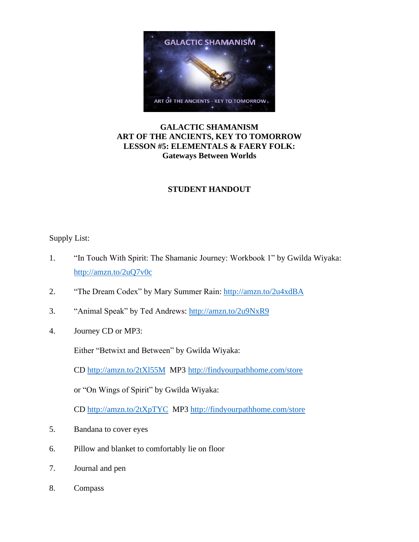

## **GALACTIC SHAMANISM ART OF THE ANCIENTS, KEY TO TOMORROW LESSON #5: ELEMENTALS & FAERY FOLK: Gateways Between Worlds**

# **STUDENT HANDOUT**

## Supply List:

- 1. "In Touch With Spirit: The Shamanic Journey: Workbook 1" by Gwilda Wiyaka: <http://amzn.to/2uQ7v0c>
- 2. "The Dream Codex" by Mary Summer Rain:<http://amzn.to/2u4xdBA>
- 3. "Animal Speak" by Ted Andrews:<http://amzn.to/2u9NxR9>
- 4. Journey CD or MP3:

Either "Betwixt and Between" by Gwilda Wiyaka:

CD <http://amzn.to/2tXl55M>MP3 <http://findyourpathhome.com/store>

or "On Wings of Spirit" by Gwilda Wiyaka:

CD<http://amzn.to/2tXpTYC> MP3<http://findyourpathhome.com/store>

- 5. Bandana to cover eyes
- 6. Pillow and blanket to comfortably lie on floor
- 7. Journal and pen
- 8. Compass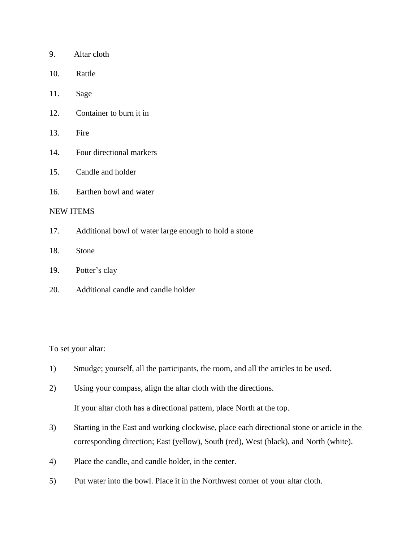| 9. | Altar cloth |
|----|-------------|
|----|-------------|

- 10. Rattle
- 11. Sage
- 12. Container to burn it in
- 13. Fire
- 14. Four directional markers
- 15. Candle and holder
- 16. Earthen bowl and water

#### NEW ITEMS

- 17. Additional bowl of water large enough to hold a stone
- 18. Stone
- 19. Potter's clay
- 20. Additional candle and candle holder

To set your altar:

- 1) Smudge; yourself, all the participants, the room, and all the articles to be used.
- 2) Using your compass, align the altar cloth with the directions.

If your altar cloth has a directional pattern, place North at the top.

- 3) Starting in the East and working clockwise, place each directional stone or article in the corresponding direction; East (yellow), South (red), West (black), and North (white).
- 4) Place the candle, and candle holder, in the center.
- 5) Put water into the bowl. Place it in the Northwest corner of your altar cloth.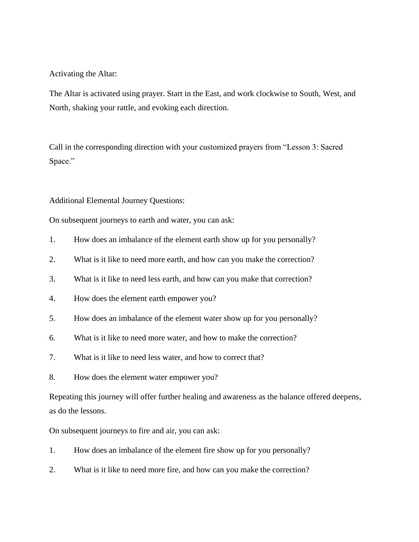Activating the Altar:

The Altar is activated using prayer. Start in the East, and work clockwise to South, West, and North, shaking your rattle, and evoking each direction.

Call in the corresponding direction with your customized prayers from "Lesson 3: Sacred Space."

### Additional Elemental Journey Questions:

On subsequent journeys to earth and water, you can ask:

- 1. How does an imbalance of the element earth show up for you personally?
- 2. What is it like to need more earth, and how can you make the correction?
- 3. What is it like to need less earth, and how can you make that correction?
- 4. How does the element earth empower you?
- 5. How does an imbalance of the element water show up for you personally?
- 6. What is it like to need more water, and how to make the correction?
- 7. What is it like to need less water, and how to correct that?
- 8. How does the element water empower you?

Repeating this journey will offer further healing and awareness as the balance offered deepens, as do the lessons.

On subsequent journeys to fire and air, you can ask:

- 1. How does an imbalance of the element fire show up for you personally?
- 2. What is it like to need more fire, and how can you make the correction?